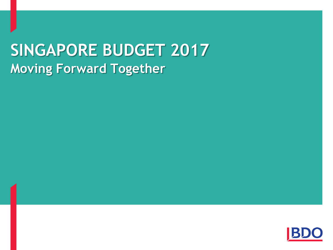# **SINGAPORE BUDGET 2017 Moving Forward Together**

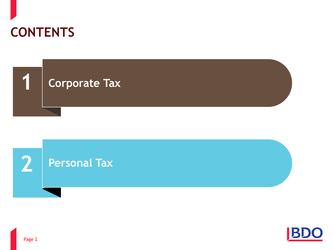





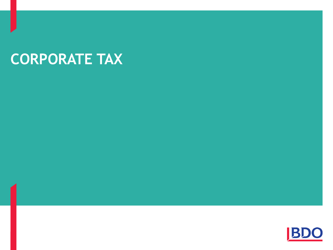# **CORPORATE TAX**

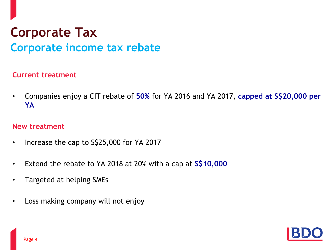#### **Current treatment**

• Companies enjoy a CIT rebate of **50%** for YA 2016 and YA 2017, **capped at S\$20,000 per YA**

- Increase the cap to S\$25,000 for YA 2017
- Extend the rebate to YA 2018 at 20% with a cap at **S\$10,000**
- Targeted at helping SMEs
- Loss making company will not enjoy

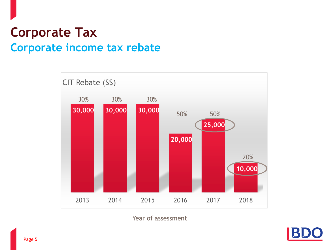

Year of assessment

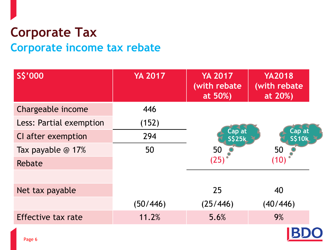| S\$'000                 | <b>YA 2017</b> | <b>YA 2017</b><br>(with rebate<br>at 50%) | <b>YA2018</b><br>(with rebate<br>at 20%) |
|-------------------------|----------------|-------------------------------------------|------------------------------------------|
| Chargeable income       | 446            |                                           |                                          |
| Less: Partial exemption | (152)          |                                           |                                          |
| CI after exemption      | 294            | Cap at<br><b>S\$25k</b>                   | Cap at<br><b>S\$10k</b>                  |
| Tax payable @ 17%       | 50             | 50                                        | 50                                       |
| Rebate                  |                | (25)                                      | (10)                                     |
|                         |                |                                           |                                          |
| Net tax payable         |                | 25                                        | 40                                       |
|                         | (50/446)       | (25/446)                                  | (40/446)                                 |
| Effective tax rate      | 11.2%          | 5.6%                                      | 9%                                       |
|                         |                |                                           |                                          |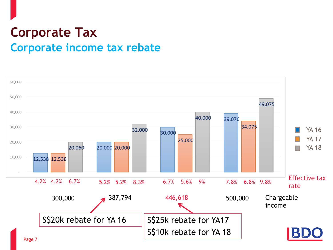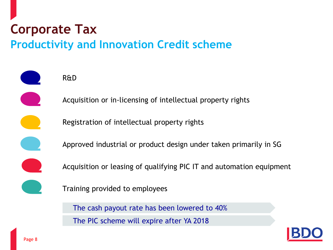# **Corporate Tax**

#### **Productivity and Innovation Credit scheme**



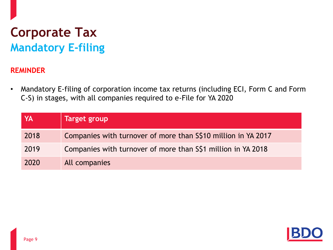### **Corporate Tax Mandatory E-filing**

#### **REMINDER**

• Mandatory E-filing of corporation income tax returns (including ECI, Form C and Form C-S) in stages, with all companies required to e-File for YA 2020

| YA   | Target group                                                  |
|------|---------------------------------------------------------------|
| 2018 | Companies with turnover of more than S\$10 million in YA 2017 |
| 2019 | Companies with turnover of more than S\$1 million in YA 2018  |
| 2020 | All companies                                                 |

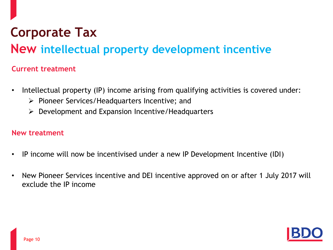### **Corporate Tax**

#### **New intellectual property development incentive**

#### **Current treatment**

- Intellectual property (IP) income arising from qualifying activities is covered under:
	- $\triangleright$  Pioneer Services/Headquarters Incentive; and
	- $\triangleright$  Development and Expansion Incentive/Headquarters

- IP income will now be incentivised under a new IP Development Incentive (IDI)
- New Pioneer Services incentive and DEI incentive approved on or after 1 July 2017 will exclude the IP income

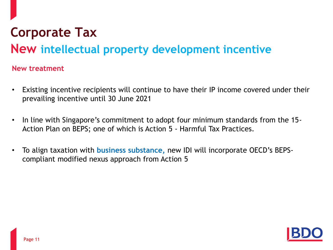### **Corporate Tax**

#### **New intellectual property development incentive**

- Existing incentive recipients will continue to have their IP income covered under their prevailing incentive until 30 June 2021
- In line with Singapore's commitment to adopt four minimum standards from the 15- Action Plan on BEPS; one of which is Action 5 - Harmful Tax Practices.
- To align taxation with **business substance,** new IDI will incorporate OECD's BEPScompliant modified nexus approach from Action 5

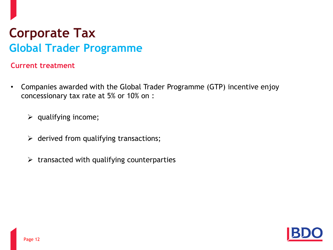#### **Current treatment**

- Companies awarded with the Global Trader Programme (GTP) incentive enjoy concessionary tax rate at 5% or 10% on :
	- $\triangleright$  qualifying income;
	- $\triangleright$  derived from qualifying transactions;
	- $\triangleright$  transacted with qualifying counterparties

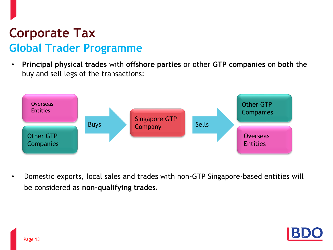• **Principal physical trades** with **offshore parties** or other **GTP companies** on **both** the buy and sell legs of the transactions:



• Domestic exports, local sales and trades with non-GTP Singapore-based entities will be considered as **non-qualifying trades.**

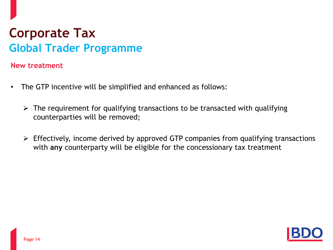- The GTP incentive will be simplified and enhanced as follows:
	- $\triangleright$  The requirement for qualifying transactions to be transacted with qualifying counterparties will be removed;
	- $\triangleright$  Effectively, income derived by approved GTP companies from qualifying transactions with **any** counterparty will be eligible for the concessionary tax treatment

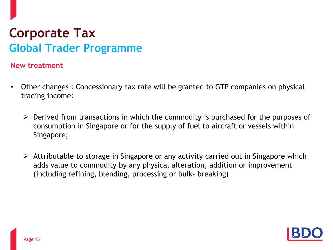- Other changes : Concessionary tax rate will be granted to GTP companies on physical trading income:
	- $\triangleright$  Derived from transactions in which the commodity is purchased for the purposes of consumption in Singapore or for the supply of fuel to aircraft or vessels within Singapore;
	- $\triangleright$  Attributable to storage in Singapore or any activity carried out in Singapore which adds value to commodity by any physical alteration, addition or improvement (including refining, blending, processing or bulk- breaking)

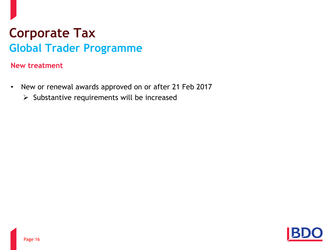- New or renewal awards approved on or after 21 Feb 2017
	- $\triangleright$  Substantive requirements will be increased

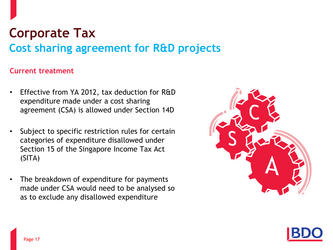### **Corporate Tax Cost sharing agreement for R&D projects**

#### **Current treatment**

- Effective from YA 2012, tax deduction for R&D expenditure made under a cost sharing agreement (CSA) is allowed under Section 14D
- Subject to specific restriction rules for certain categories of expenditure disallowed under Section 15 of the Singapore Income Tax Act (SITA)
- The breakdown of expenditure for payments made under CSA would need to be analysed so as to exclude any disallowed expenditure



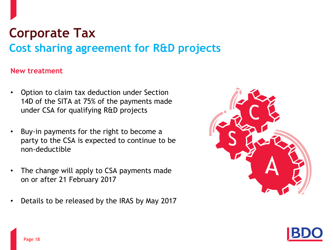### **Corporate Tax Cost sharing agreement for R&D projects**

- Option to claim tax deduction under Section 14D of the SITA at 75% of the payments made under CSA for qualifying R&D projects
- Buy-in payments for the right to become a party to the CSA is expected to continue to be non-deductible
- The change will apply to CSA payments made on or after 21 February 2017
- Details to be released by the IRAS by May 2017



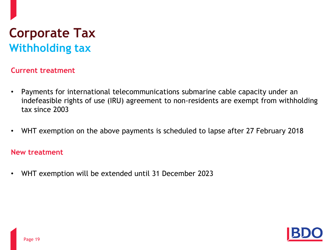### **Corporate Tax Withholding tax**

#### **Current treatment**

- Payments for international telecommunications submarine cable capacity under an indefeasible rights of use (IRU) agreement to non-residents are exempt from withholding tax since 2003
- WHT exemption on the above payments is scheduled to lapse after 27 February 2018

#### **New treatment**

• WHT exemption will be extended until 31 December 2023

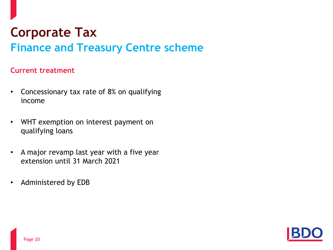### **Corporate Tax Finance and Treasury Centre scheme**

#### **Current treatment**

- Concessionary tax rate of 8% on qualifying income
- WHT exemption on interest payment on qualifying loans
- A major revamp last year with a five year extension until 31 March 2021
- Administered by EDB

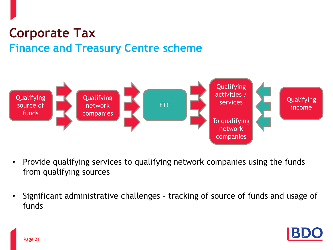### **Corporate Tax Finance and Treasury Centre scheme**



- Provide qualifying services to qualifying network companies using the funds from qualifying sources
- Significant administrative challenges tracking of source of funds and usage of funds

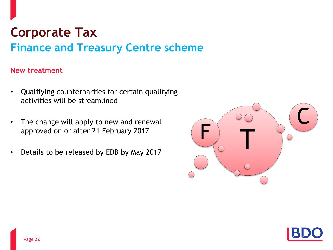### **Corporate Tax Finance and Treasury Centre scheme**

- Qualifying counterparties for certain qualifying activities will be streamlined
- The change will apply to new and renewal approved on or after 21 February 2017
- Details to be released by EDB by May 2017



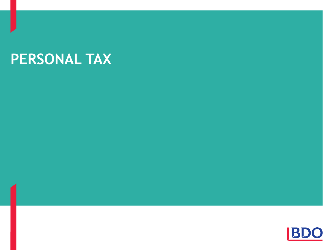# **PERSONAL TAX**

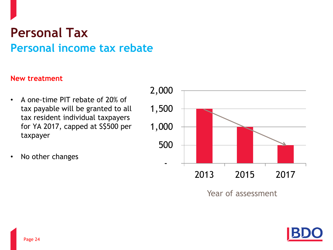### **Personal Tax Personal income tax rebate**

- A one-time PIT rebate of 20% of tax payable will be granted to all tax resident individual taxpayers for YA 2017, capped at S\$500 per taxpayer
- No other changes



Year of assessment

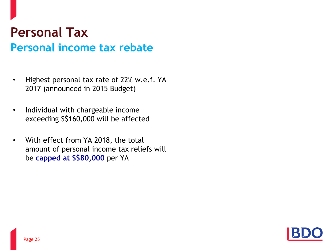### **Personal Tax Personal income tax rebate**

- Highest personal tax rate of 22% w.e.f. YA 2017 (announced in 2015 Budget)
- Individual with chargeable income exceeding S\$160,000 will be affected
- With effect from YA 2018, the total amount of personal income tax reliefs will be **capped at S\$80,000** per YA